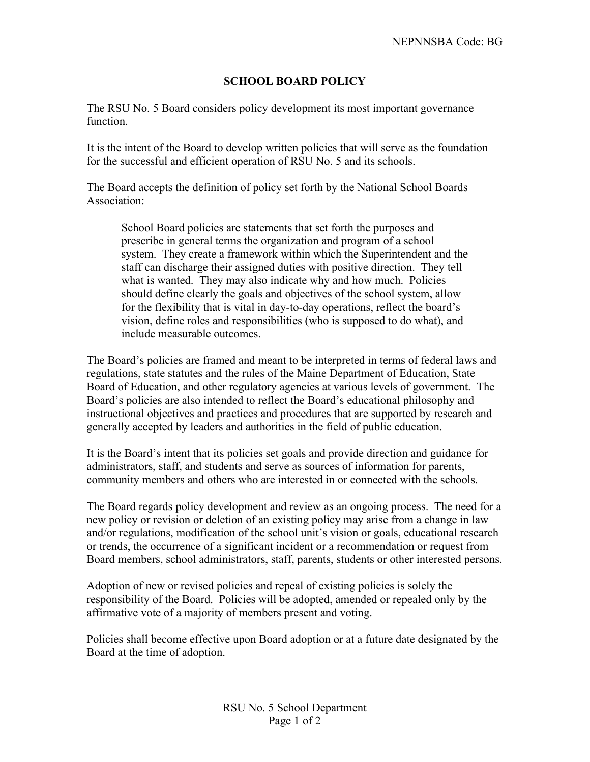## **SCHOOL BOARD POLICY**

The RSU No. 5 Board considers policy development its most important governance function.

It is the intent of the Board to develop written policies that will serve as the foundation for the successful and efficient operation of RSU No. 5 and its schools.

The Board accepts the definition of policy set forth by the National School Boards Association:

School Board policies are statements that set forth the purposes and prescribe in general terms the organization and program of a school system. They create a framework within which the Superintendent and the staff can discharge their assigned duties with positive direction. They tell what is wanted. They may also indicate why and how much. Policies should define clearly the goals and objectives of the school system, allow for the flexibility that is vital in day-to-day operations, reflect the board's vision, define roles and responsibilities (who is supposed to do what), and include measurable outcomes.

The Board's policies are framed and meant to be interpreted in terms of federal laws and regulations, state statutes and the rules of the Maine Department of Education, State Board of Education, and other regulatory agencies at various levels of government. The Board's policies are also intended to reflect the Board's educational philosophy and instructional objectives and practices and procedures that are supported by research and generally accepted by leaders and authorities in the field of public education.

It is the Board's intent that its policies set goals and provide direction and guidance for administrators, staff, and students and serve as sources of information for parents, community members and others who are interested in or connected with the schools.

The Board regards policy development and review as an ongoing process. The need for a new policy or revision or deletion of an existing policy may arise from a change in law and/or regulations, modification of the school unit's vision or goals, educational research or trends, the occurrence of a significant incident or a recommendation or request from Board members, school administrators, staff, parents, students or other interested persons.

Adoption of new or revised policies and repeal of existing policies is solely the responsibility of the Board. Policies will be adopted, amended or repealed only by the affirmative vote of a majority of members present and voting.

Policies shall become effective upon Board adoption or at a future date designated by the Board at the time of adoption.